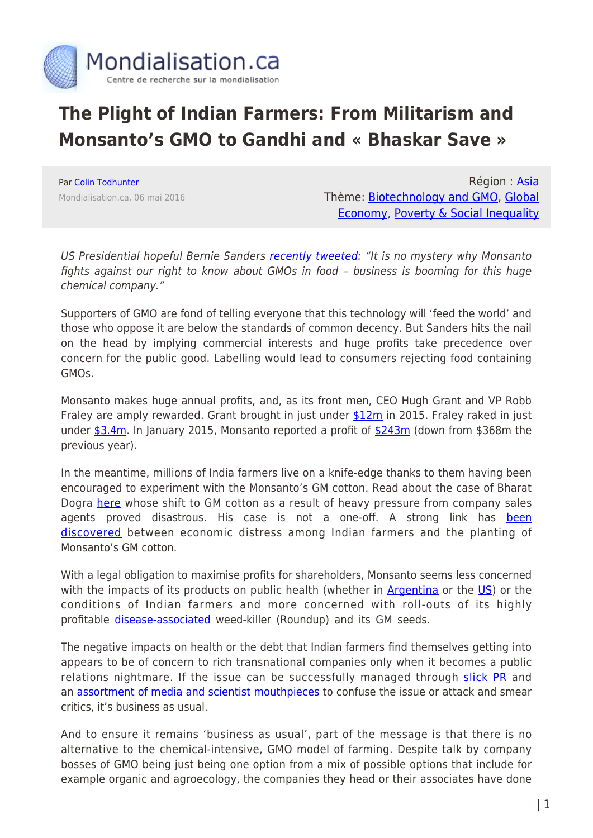

## **The Plight of Indian Farmers: From Militarism and Monsanto's GMO to Gandhi and « Bhaskar Save »**

Par [Colin Todhunter](https://www.mondialisation.ca/author/colin-todhunter) Mondialisation.ca, 06 mai 2016

Région : [Asia](https://www.mondialisation.ca/region/asia) Thème: [Biotechnology and GMO](https://www.mondialisation.ca/theme/biotechnology-and-gmo), [Global](https://www.mondialisation.ca/theme/global-economy) [Economy](https://www.mondialisation.ca/theme/global-economy), [Poverty & Social Inequality](https://www.mondialisation.ca/theme/poverty-social-inequality)

US Presidential hopeful Bernie Sanders [recently tweeted:](https://twitter.com/BernieSanders/status/727901111483392000) "It is no mystery why Monsanto fights against our right to know about GMOs in food – business is booming for this huge chemical company."

Supporters of GMO are fond of telling everyone that this technology will 'feed the world' and those who oppose it are below the standards of common decency. But Sanders hits the nail on the head by implying commercial interests and huge profits take precedence over concern for the public good. Labelling would lead to consumers rejecting food containing GMOs.

Monsanto makes huge annual profits, and, as its front men, CEO Hugh Grant and VP Robb Fraley are amply rewarded. Grant brought in just under [\\$12m](http://www.bloomberg.com/research/stocks/people/person.asp?personId=550651&privcapId=528414) in 2015. Fraley raked in just under [\\$3.4m.](http://www.bloomberg.com/research/stocks/people/person.asp?personId=550651&privcapId=528414) In January 2015, Monsanto reported a profit of [\\$243m](http://www.theguardian.com/business/2015/jan/07/monsanto-earnings-fall-corn-south-america-genetically-modified-food) (down from \$368m the previous year).

In the meantime, millions of India farmers live on a knife-edge thanks to them having been encouraged to experiment with the Monsanto's GM cotton. Read about the case of Bharat Dogra [here](http://www.thestatesman.com/news/opinion/the-seeds-of-farmers-woes/89660.html) whose shift to GM cotton as a result of heavy pressure from company sales agents proved disastrous. His case is not a one-off. A strong link has [been](http://www.thehindu.com/news/national/bt-cotton-responsible-for-suicides-in-rainfed-areas-says-study/article7337684.ece) [discovered](http://www.thehindu.com/news/national/bt-cotton-responsible-for-suicides-in-rainfed-areas-says-study/article7337684.ece) between economic distress among Indian farmers and the planting of Monsanto's GM cotton.

With a legal obligation to maximise profits for shareholders, Monsanto seems less concerned with the impacts of its products on public health (whether in  $\Delta$ rgentina or the [US](http://www.chelseagreen.com/altered-genes-twisted-truth)) or the conditions of Indian farmers and more concerned with roll-outs of its highly profitable [disease-associated](http://sustainablepulse.com/2015/04/09/monsanto-knew-of-glyphosate-cancer-link-35-years-ago/#.VytAj4QrLIV) weed-killer (Roundup) and its GM seeds.

The negative impacts on health or the debt that Indian farmers find themselves getting into appears to be of concern to rich transnational companies only when it becomes a public relations nightmare. If the issue can be successfully managed through [slick PR](http://usrtk.org/seedybusiness.pdf) and an [assortment of media and scientist mouthpieces](http://www.counterpunch.org/2015/12/25/the-gmo-issue-false-claims-psuedo-analysis-and-a-politically-motivated-agenda/) to confuse the issue or attack and smear critics, it's business as usual.

And to ensure it remains 'business as usual', part of the message is that there is no alternative to the chemical-intensive, GMO model of farming. Despite talk by company bosses of GMO being just being one option from a mix of possible options that include for example organic and agroecology, the companies they head or their associates have done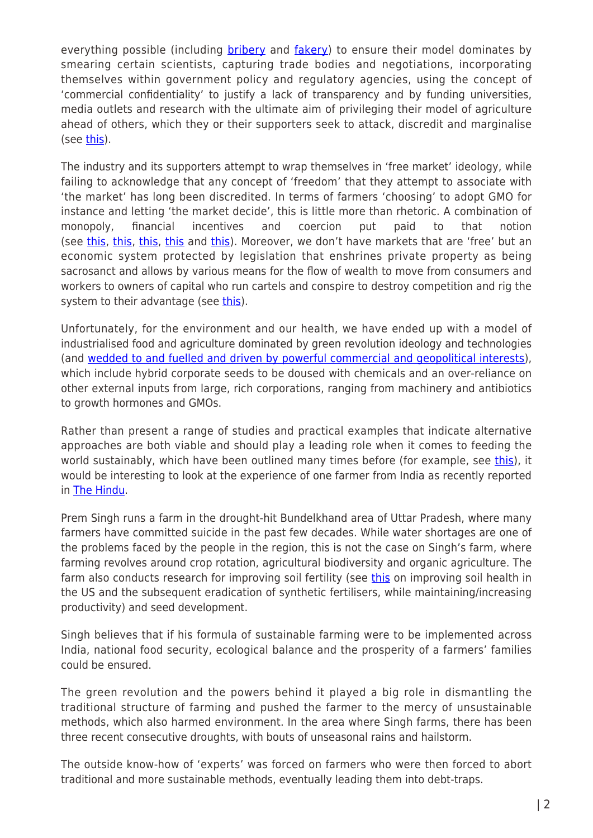everything possible (including [bribery](http://news.bbc.co.uk/1/hi/business/4153635.stm) and [fakery](http://indiatoday.intoday.in/story/Monsanto+faked+data+for+approvals+claims+its+ex-chief/1/83093.html)) to ensure their model dominates by smearing certain scientists, capturing trade bodies and negotiations, incorporating themselves within government policy and regulatory agencies, using the concept of 'commercial confidentiality' to justify a lack of transparency and by funding universities, media outlets and research with the ultimate aim of privileging their model of agriculture ahead of others, which they or their supporters seek to attack, discredit and marginalise (see [this\)](http://www.counterpunch.org/2015/02/27/monsanto-wants-to-know-why-people-doubt-science/).

The industry and its supporters attempt to wrap themselves in 'free market' ideology, while failing to acknowledge that any concept of 'freedom' that they attempt to associate with 'the market' has long been discredited. In terms of farmers 'choosing' to adopt GMO for instance and letting 'the market decide', this is little more than rhetoric. A combination of monopoly, financial incentives and coercion put paid to that notion (see [this](http://truth-out.org/archive/component/k2/item/93488:wikileaks-us-ambassador-planned-retaliation-against-france-over-ban-on-monsanto-corn), [this,](http://www.counterpunch.org/2015/04/09/us-agribusiness-gmos-and-the-plundering-of-the-planet/) [this](http://www.lobbywatch.org/archive2.asp?arcid=8847), this and this). Moreover, we don't have markets that are 'free' but an economic system protected by legislation that enshrines private property as being sacrosanct and allows by various means for the flow of wealth to move from consumers and workers to owners of capital who run cartels and conspire to destroy competition and rig the system to their advantage (see [this\)](http://www.zerohedge.com/news/2016-04-14/markets-are-manipulated).

Unfortunately, for the environment and our health, we have ended up with a model of industrialised food and agriculture dominated by green revolution ideology and technologies (and [wedded to and fuelled and driven by powerful commercial and geopolitical interests\)](http://www.theecologist.org/essays/2987404/feeding_the_bank_balance_gmos_development_and_the_politics_of_happiness.html), which include hybrid corporate seeds to be doused with chemicals and an over-reliance on other external inputs from large, rich corporations, ranging from machinery and antibiotics to growth hormones and GMOs.

Rather than present a range of studies and practical examples that indicate alternative approaches are both viable and should play a leading role when it comes to feeding the world sustainably, which have been outlined many times before (for example, see [this\)](http://www.theecologist.org/News/news_analysis/2987078/organic_agriculture_agroecology_and_the_parallel_reality_of_the_gmo_evangelist.html), it would be interesting to look at the experience of one farmer from India as recently reported in [The Hindu](http://m.thehindu.com/news/national/other-states/a-success-story-in-parched-bundelkhand/article8524731.ece).

Prem Singh runs a farm in the drought-hit Bundelkhand area of Uttar Pradesh, where many farmers have committed suicide in the past few decades. While water shortages are one of the problems faced by the people in the region, this is not the case on Singh's farm, where farming revolves around crop rotation, agricultural biodiversity and organic agriculture. The farm also conducts research for improving soil fertility (see [this](https://thefern.org/2016/04/dirt-first/) on improving soil health in the US and the subsequent eradication of synthetic fertilisers, while maintaining/increasing productivity) and seed development.

Singh believes that if his formula of sustainable farming were to be implemented across India, national food security, ecological balance and the prosperity of a farmers' families could be ensured.

The green revolution and the powers behind it played a big role in dismantling the traditional structure of farming and pushed the farmer to the mercy of unsustainable methods, which also harmed environment. In the area where Singh farms, there has been three recent consecutive droughts, with bouts of unseasonal rains and hailstorm.

The outside know-how of 'experts' was forced on farmers who were then forced to abort traditional and more sustainable methods, eventually leading them into debt-traps.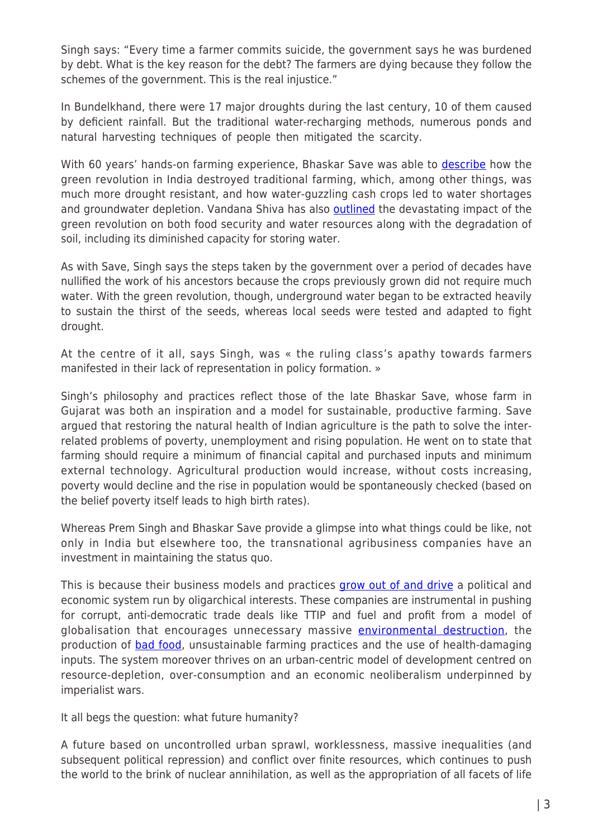Singh says: "Every time a farmer commits suicide, the government says he was burdened by debt. What is the key reason for the debt? The farmers are dying because they follow the schemes of the government. This is the real injustice."

In Bundelkhand, there were 17 major droughts during the last century, 10 of them caused by deficient rainfall. But the traditional water-recharging methods, numerous ponds and natural harvesting techniques of people then mitigated the scarcity.

With 60 years' hands-on farming experience, Bhaskar Save was able to **[describe](http://www.theecologist.org/essays/2986063/bhaskar_save_the_green_revolution_ruined_india_agroecology_can_restore_her.html)** how the green revolution in India destroyed traditional farming, which, among other things, was much more drought resistant, and how water-guzzling cash crops led to water shortages and groundwater depletion. Vandana Shiva has also **[outlined](https://www.organicconsumers.org/news/vandana-shiva-climate-change-drought-and-indias-looming-food-and-water-crisis)** the devastating impact of the green revolution on both food security and water resources along with the degradation of soil, including its diminished capacity for storing water.

As with Save, Singh says the steps taken by the government over a period of decades have nullified the work of his ancestors because the crops previously grown did not require much water. With the green revolution, though, underground water began to be extracted heavily to sustain the thirst of the seeds, whereas local seeds were tested and adapted to fight drought.

At the centre of it all, says Singh, was « the ruling class's apathy towards farmers manifested in their lack of representation in policy formation. »

Singh's philosophy and practices reflect those of the late Bhaskar Save, whose farm in Gujarat was both an inspiration and a model for sustainable, productive farming. Save argued that restoring the natural health of Indian agriculture is the path to solve the interrelated problems of poverty, unemployment and rising population. He went on to state that farming should require a minimum of financial capital and purchased inputs and minimum external technology. Agricultural production would increase, without costs increasing, poverty would decline and the rise in population would be spontaneously checked (based on the belief poverty itself leads to high birth rates).

Whereas Prem Singh and Bhaskar Save provide a glimpse into what things could be like, not only in India but elsewhere too, the transnational agribusiness companies have an investment in maintaining the status quo.

This is because their business models and practices [grow out of and drive](http://www.theecologist.org/News/news_analysis/2987157/arms_agribusiness_finance_and_fossil_fuels_the_four_horsemen_of_the_neoliberal_apocalypse.html) a political and economic system run by oligarchical interests. These companies are instrumental in pushing for corrupt, anti-democratic trade deals like TTIP and fuel and profit from a model of globalisation that encourages unnecessary massive [environmental destruction,](http://www.counterpunch.org/2016/03/11/palm-oil-and-gm-mustard-a-marriage-made-in-hell/) the production of **[bad food](http://www.theecologist.org/essays/2987501/india_obesity_malnutrition_and_the_globalisation_of_bad_food.html)**, unsustainable farming practices and the use of health-damaging inputs. The system moreover thrives on an urban-centric model of development centred on resource-depletion, over-consumption and an economic neoliberalism underpinned by imperialist wars.

It all begs the question: what future humanity?

A future based on uncontrolled urban sprawl, worklessness, massive inequalities (and subsequent political repression) and conflict over finite resources, which continues to push the world to the brink of nuclear annihilation, as well as the appropriation of all facets of life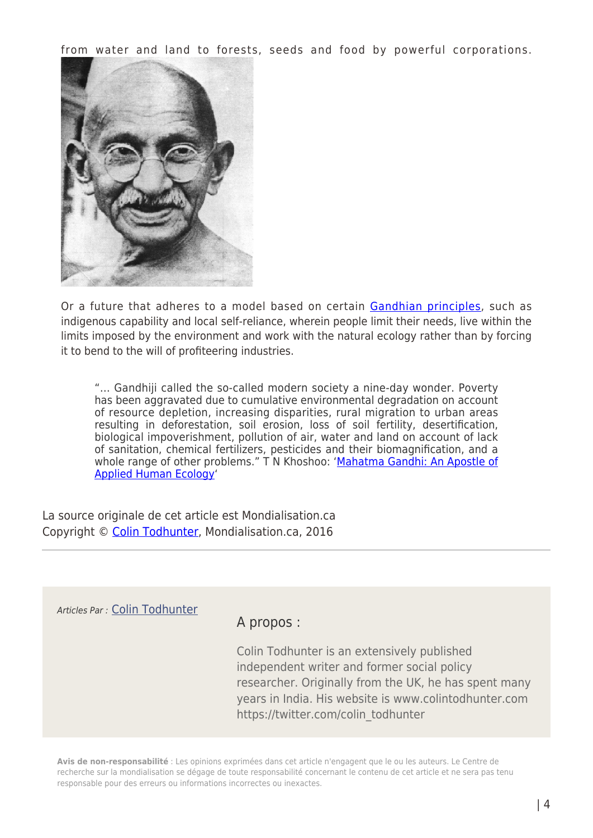from water and land to forests, seeds and food by powerful corporations.



Or a future that adheres to a model based on certain [Gandhian principles](http://www.globalresearch.ca/ecological-meltdown-and-nuclear-conflict-the-relevance-of-gandhi-in-the-modern-world/5499007), such as indigenous capability and local self-reliance, wherein people limit their needs, live within the limits imposed by the environment and work with the natural ecology rather than by forcing it to bend to the will of profiteering industries.

"… Gandhiji called the so-called modern society a nine-day wonder. Poverty has been aggravated due to cumulative environmental degradation on account of resource depletion, increasing disparities, rural migration to urban areas resulting in deforestation, soil erosion, loss of soil fertility, desertification, biological impoverishment, pollution of air, water and land on account of lack of sanitation, chemical fertilizers, pesticides and their biomagnification, and a whole range of other problems." T N Khoshoo: ['Mahatma Gandhi: An Apostle of](http://www.amazon.com/Mahatma-Gandhi-apostle-applied-ecology/dp/8185419108) [Applied Human Ecology'](http://www.amazon.com/Mahatma-Gandhi-apostle-applied-ecology/dp/8185419108)

La source originale de cet article est Mondialisation.ca Copyright © [Colin Todhunter](https://www.mondialisation.ca/author/colin-todhunter), Mondialisation.ca, 2016

Articles Par : [Colin Todhunter](https://www.mondialisation.ca/author/colin-todhunter)

## A propos :

Colin Todhunter is an extensively published independent writer and former social policy researcher. Originally from the UK, he has spent many years in India. His website is www.colintodhunter.com https://twitter.com/colin\_todhunter

**Avis de non-responsabilité** : Les opinions exprimées dans cet article n'engagent que le ou les auteurs. Le Centre de recherche sur la mondialisation se dégage de toute responsabilité concernant le contenu de cet article et ne sera pas tenu responsable pour des erreurs ou informations incorrectes ou inexactes.